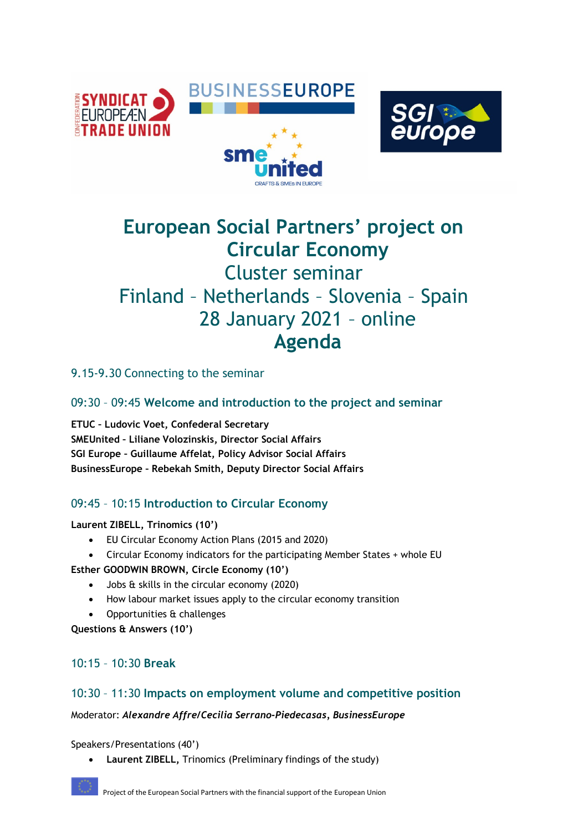



# **European Social Partners' project on Circular Economy** Cluster seminar Finland – Netherlands – Slovenia – Spain 28 January 2021 – online **Agenda**

9.15-9.30 Connecting to the seminar

09:30 – 09:45 **Welcome and introduction to the project and seminar**

**ETUC – Ludovic Voet, Confederal Secretary SMEUnited – Liliane Volozinskis, Director Social Affairs SGI Europe – Guillaume Affelat, Policy Advisor Social Affairs BusinessEurope – Rebekah Smith, Deputy Director Social Affairs**

# 09:45 – 10:15 **Introduction to Circular Economy**

**Laurent ZIBELL, Trinomics (10')**

- EU Circular Economy Action Plans (2015 and 2020)
- Circular Economy indicators for the participating Member States + whole EU

**Esther GOODWIN BROWN, Circle Economy (10')**

- Jobs & skills in the circular economy (2020)
- How labour market issues apply to the circular economy transition
- Opportunities & challenges
- **Questions & Answers (10')**
- 10:15 10:30 **Break**

## 10:30 – 11:30 **Impacts on employment volume and competitive position**

## Moderator: *Alexandre Affre/Cecilia Serrano-Piedecasas, BusinessEurope*

Speakers/Presentations (40')

• **Laurent ZIBELL,** Trinomics (Preliminary findings of the study)